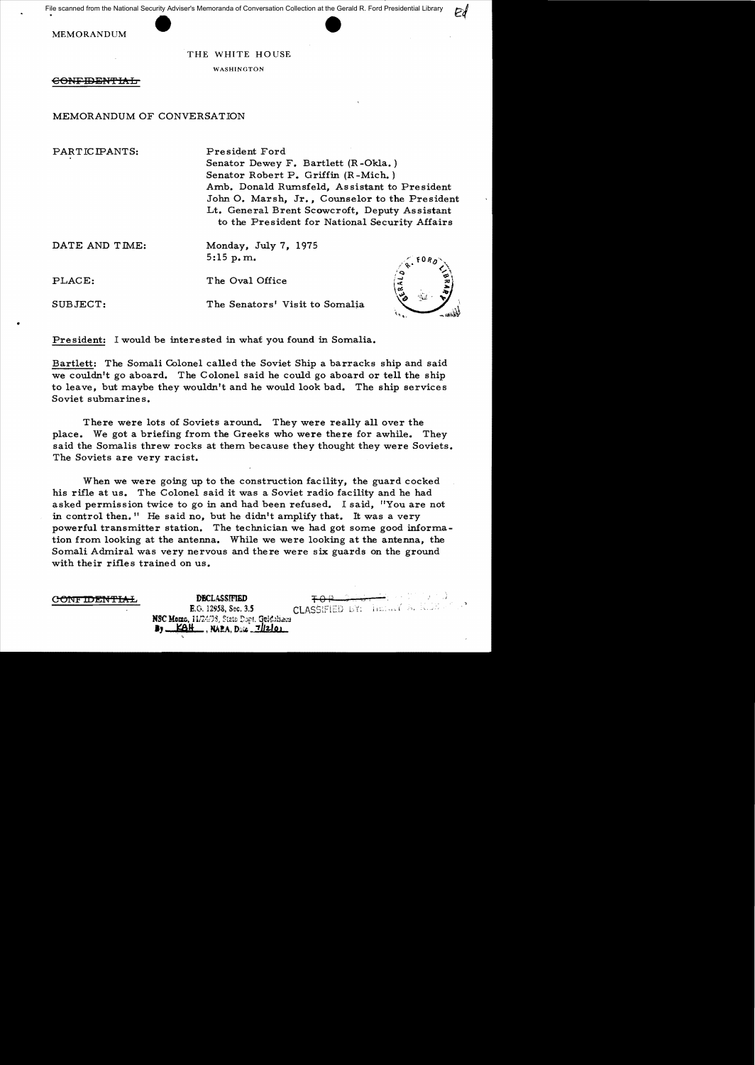File scanned from the National Security Adviser's Memoranda of Conversation Collection at the Gerald R. Ford Presidential Library

MEMORANDUM

THE WHITE HOUSE

WASHINGTON

<del>CONFIDENTIAL</del>

MEMORANDUM OF CONVERSATION

PARTIC IPANTS: President Ford

Senator Dewey F. Bartlett (R -Okla. ) Senator Robert P. Griffin (R -Mich. ) Amb. Donald Rumsfeld, Assistant to President John O. Marsh, Jr., Counselor to the President Lt. General Brent Scowcroft, Deputy Assistant to the President for National Security Affairs

DATE AND TIME: Monday, July 7, 1975 5:15p.m.

PLACE: The Oval Office

•

SUBJECT: The Senators' Visit to Somalia

President: I would be interested in what you found in Somalia.

Bartlett: The Somali Colonel called the Soviet Ship a barracks ship and said we couldn't go aboard. The Colonel said he could go aboard or tell the ship to leave, but maybe they wouldn't and he would look bad. The ship services Soviet submarines.

There were lots of Soviets around. They were really all over the place. We got a briefing from the Greeks who were there for awhile. They said the Somalis threw rocks at them because they thought they were Soviets. The Soviets are very racist.

When we were going up to the construction facility, the guard cocked his rifle at us. The Colonel said it was a Soviet radio facility and he had asked permission twice to go in and had been refused. I said, "You are not in control then." He said no, but he didn't amplify that. It was a very powerful transmitter station. The technician we had got some good information from looking at the antenna. While we were looking at the antenna, the Somali Admiral was very nervous and there were six guards on the ground with their rifles trained on us.

CONFIDENTIAL DECLASSIFIED

**NSC Mome, 11/24/98, State Dopt. Gridoliacs**<br>**By KAH**, NAPA, Date 71/2101

E.O. 12958, Sec. 3.5 **CLASSIFIED** BY: **limited**<sup>7</sup> A. 10.23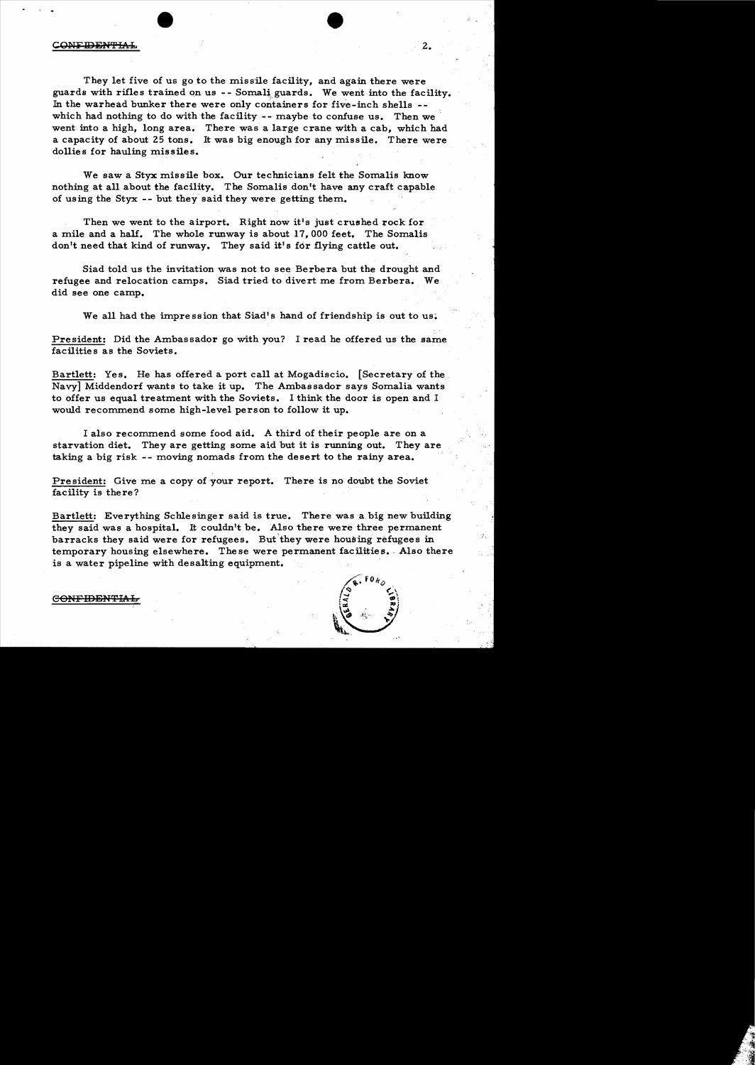## C<del>ONFIDENTIAL</del>

They let five of us go to the missile facility, and again there were guards with rifles trained on us  $-$ - Somali guards. We went into the facility. In the warhead bunker there were only containers for five-inch shells which had nothing to do with the facility -- maybe to confuse us. Then we went into a high, long area. There was a large crane with a cab, which had a capacity of about 25 tons. It was big enough for any missile. There were dollies for hauling missiles.

We saw a Styx missile box. Our technicians felt the Somalis know nothing at all about the facility. The Somalis don't have any craft capable of using the Styx -- but they said they were getting them.

Then we went to the airport. Right now it's just crushed rock for a mile and a half. The whole runway is about  $17,000$  feet. The Somalis don't need that kind of runway. They said it's for flying cattle out.

Siad told us the invitation was not to see Berbera but the drought and refugee and relocation camps. Siad tried to divert me from Berbera. We did see one camp.

We all had the impression that Siad's hand of friendship is out to us.

President: Did the Ambassador go with you? I read he offered us the same facilities as the Soviets.

Bartlett: Yes. He has offered a port call at Mogadiscio. [Secretary of the Navy] Middendorf wants to take it up. The Ambassador says Somalia wants to offer us equal treatment with the Soviets. I think the door is open and  $I$ would recommend some high-level person to follow it up.

I also recommend some food aid. A third of their people are on a starvation diet. They are getting some aid but it is running out. They are taking a big risk -- moving nomads from the desert to the rainy area.

President: Give me a copy of your report. There is no doubt the Soviet facility is there?

Bartlett: Everything Schlesinger said is true. There was a big new building they said was a hospital. It couldn't be. Also there were three permanent barracks they said were for refugees. But they were housing refugees in temporary housing elsewhere. These were permanent facilities. Also there is a water pipeline with desalting equipment.



CONFIDENTIAI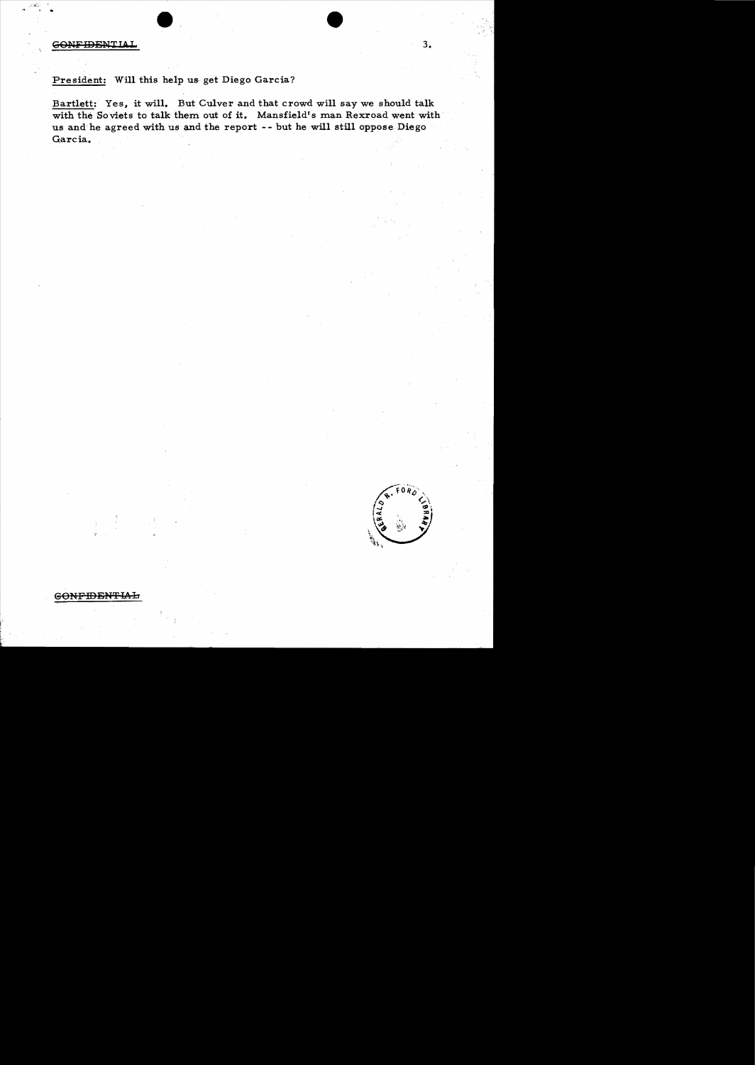CONFIDENTIAL

## President: Will this help us get Diego Garcia?

Bartlett: Yes, it will. But Culver and that crowd will say we should talk with the Soviets to talk them out of it. Mansfield's man Rexroad went with us and he agreed with us and the report -- but he will still oppose Diego Garcia.

 $\mathcal{F}^{\mathcal{F}}$ 

<del>GONFIDENTIAL</del>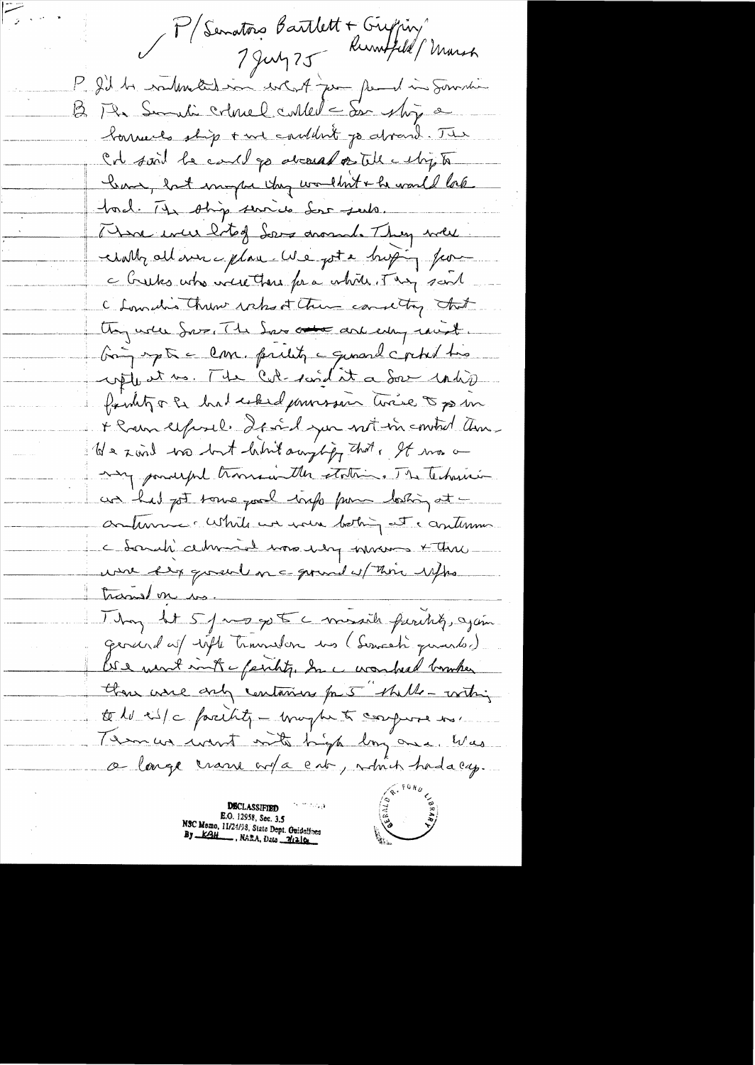P/Senators Bartlett + Grypin P. I'll be railmeted in what pour families Sommer 12 Ph Semili colonel culled - de ship a borriels ship + we couldn't go alread. The Col said be could go aboard on the cubing to Kom , but my be they wouldn't + he would lake tod. It ship surice des seule. There were hoted Lors around. They were unally all we glave We got a hoping for a tractes who were there for a white. They said C Lowneding Christ who at them comently that they used Sove, The Son and each eday raint. bing up à com. priest a quand c'ochet très familitz of had used pourses trice of por + Ram exposel. If and you wit in control ann-We xard tro but him angling that, It was a my ponderful transmentale etations. The technics un had got tome pool trap pour looking at continue : White we were bothing at cantennie. Chardi cette de 1000 dy trans x three were key good on a grand of this right translon en. They It 5 pm go to a meails furthly, again. General as with transien us (Servesti quartes). US a wint ant - faithy, In a wonderd bomber thou were any containing for 5 thelle-withing to le cit/c facility - may be to comporte no. Tema mont mit hyp long one was a large trans ort a ent, which had a cy.

**DECLASSIFIED**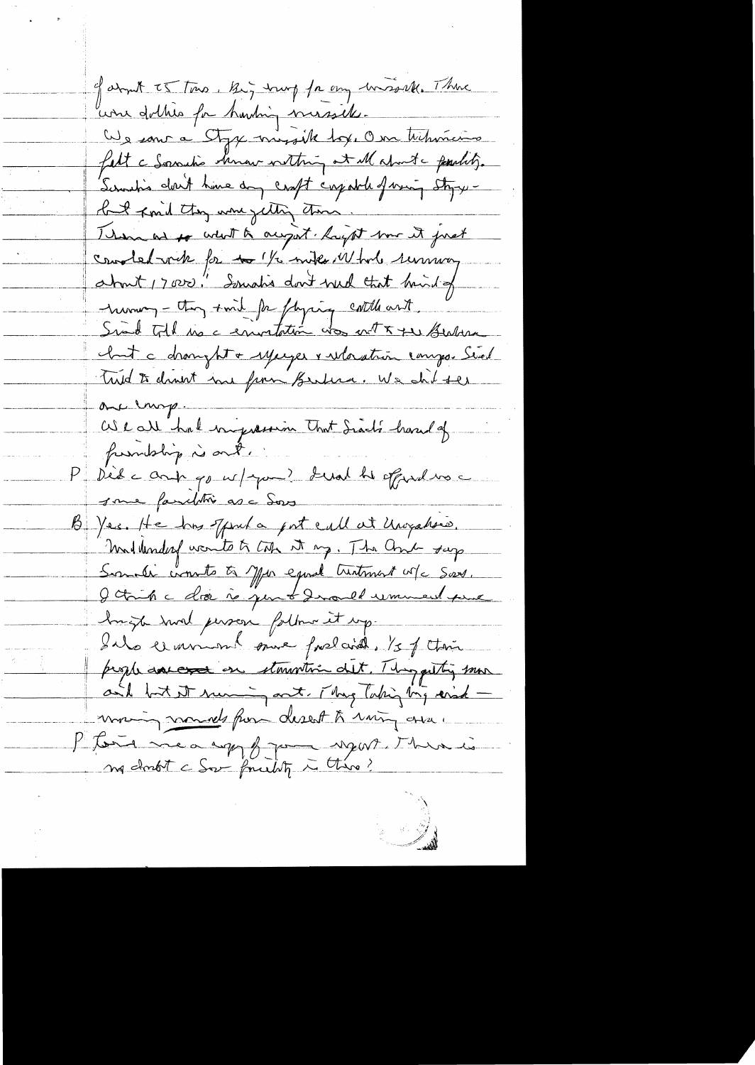of about TS Town, Big trung for any transville. There une dottres for harding messeles. We some a Styx missile tox, One tribunions fatt a Socration homew withing at Malmita partity. Servation don't have any craft crystale forming styre but ford they were getting them. Them as to what a anyout. Rayat some it just condetante for to 1/2 miles 11 tods remman about 17000." Soundis don't well that brind of numer - they smil for flying cattle ant. chat à dranght + yeager & wastrin composition Trid to drawt ine from Berlina. We shit the one empire We all had ingression that Siach's hand of fundship is out. Dède antigon/you? Lual he offered voic some familitie as a Sors B Yes. He has offered a got call at Unigation. millenderf wonto to top it my. The Comb sup Somali consta à Mar equal tratment vote Sars. I think a doc is just I would remement perme huizh smal person folker it up. Ils element sure fordaid. Is of their prophenances on stowartime det. This getting some and but it mumin ont, They laking big erid moving nomeds from desert to rain avec Ptors meaning from near there is ma doubt c Sor found to this?